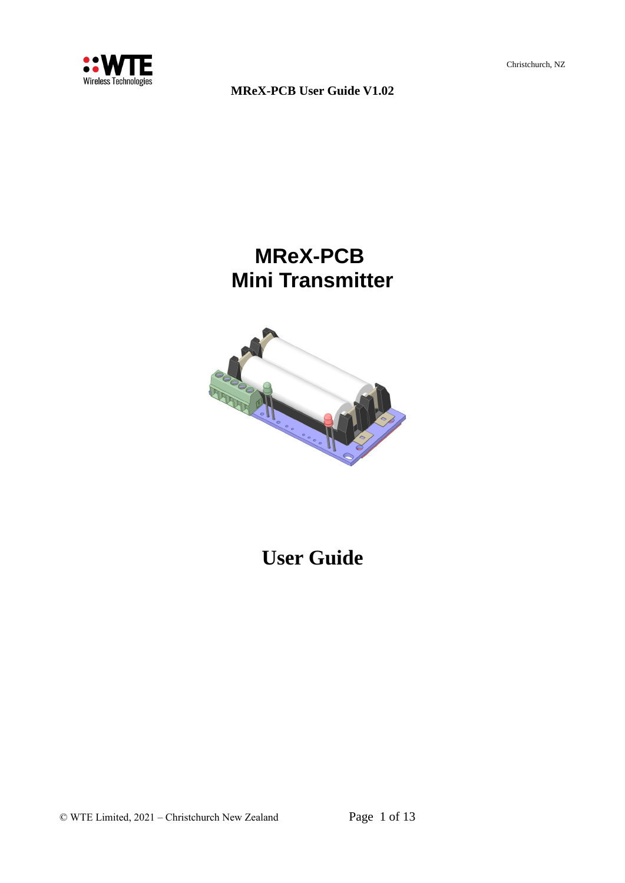

# **MReX-PCB Mini Transmitter**



# **User Guide**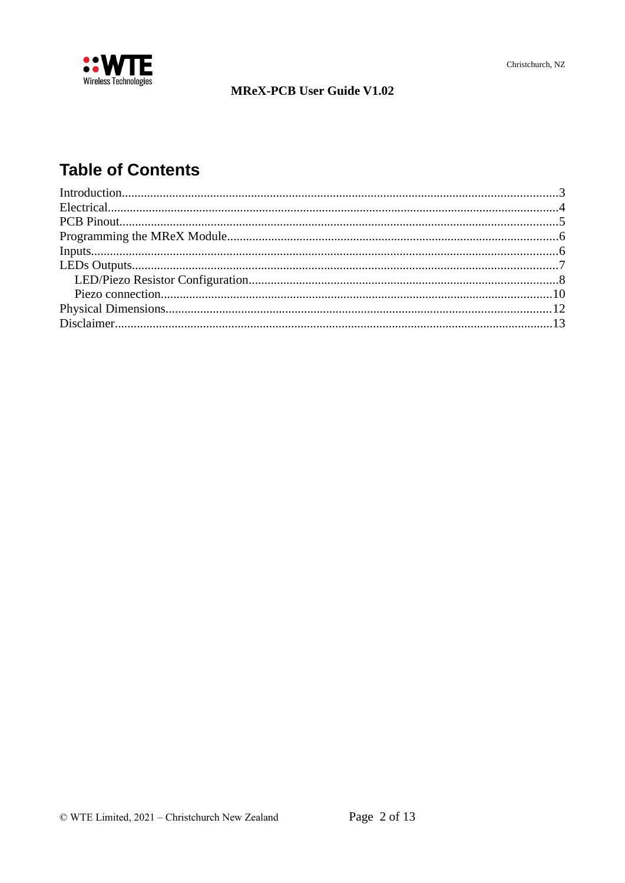

### **Table of Contents**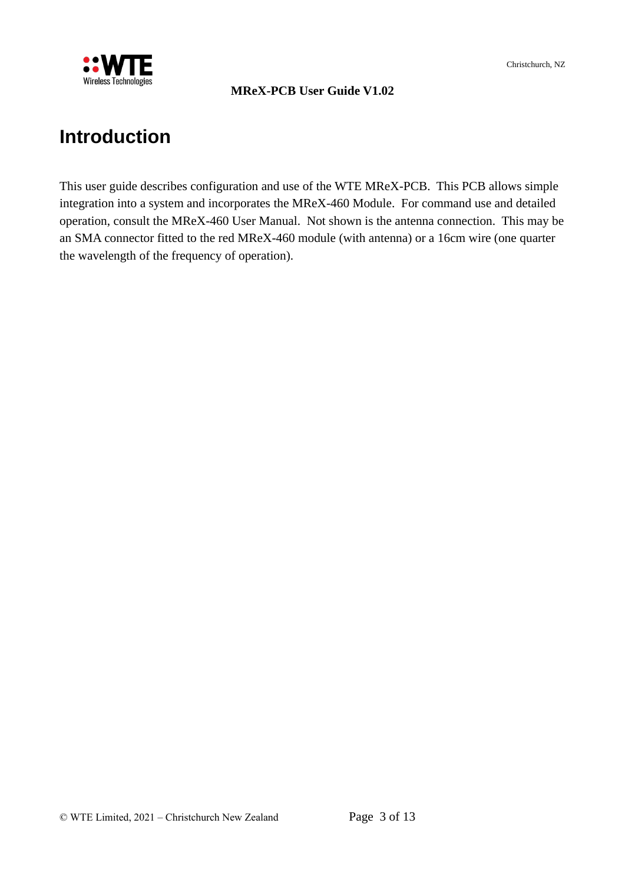

# <span id="page-2-0"></span>**Introduction**

This user guide describes configuration and use of the WTE MReX-PCB. This PCB allows simple integration into a system and incorporates the MReX-460 Module. For command use and detailed operation, consult the MReX-460 User Manual. Not shown is the antenna connection. This may be an SMA connector fitted to the red MReX-460 module (with antenna) or a 16cm wire (one quarter the wavelength of the frequency of operation).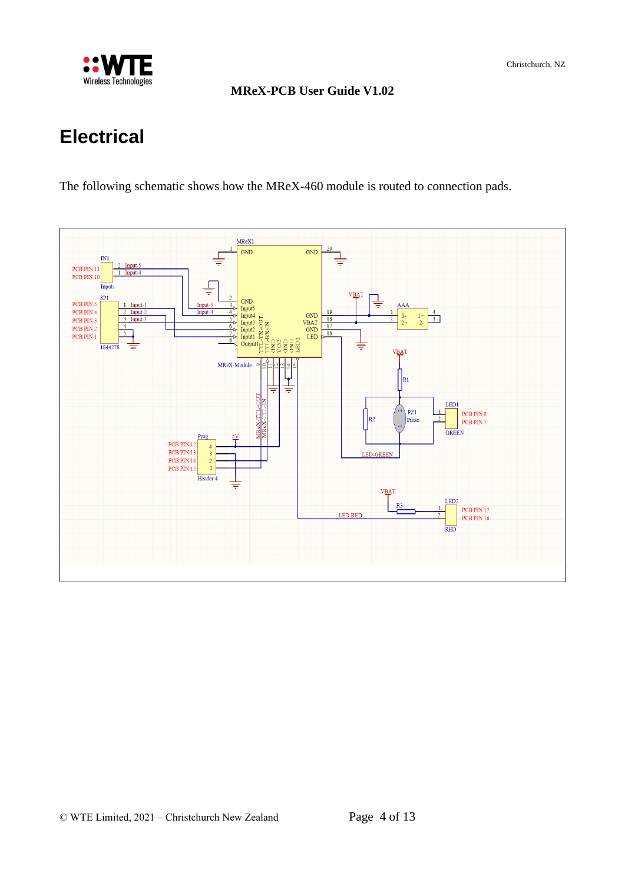

# <span id="page-3-0"></span>**Electrical**

The following schematic shows how the MReX-460 module is routed to connection pads.

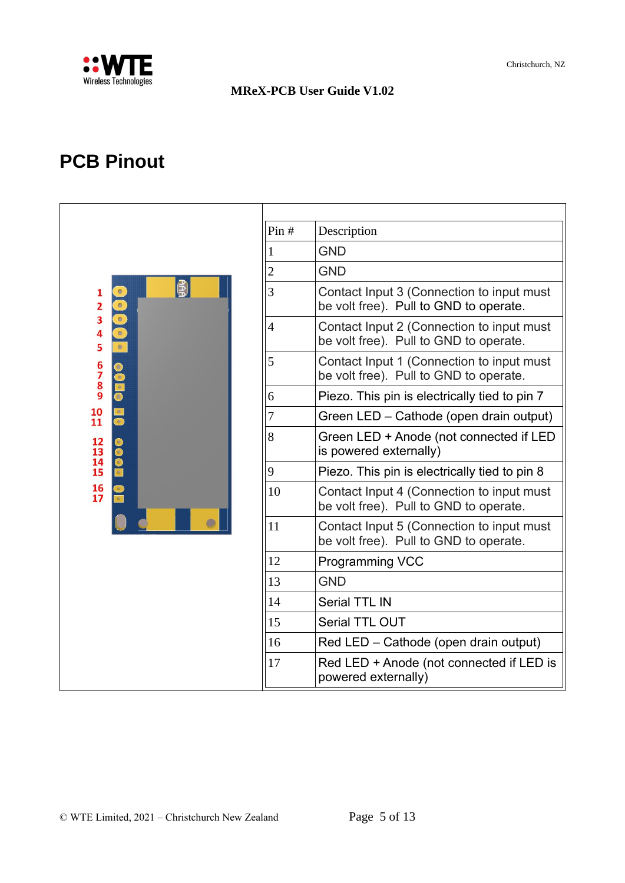

 $\overline{\phantom{a}}$ 

### **MReX-PCB User Guide V1.02**

## <span id="page-4-0"></span>**PCB Pinout**



| Pin#           | Description                                                                         |
|----------------|-------------------------------------------------------------------------------------|
| $\mathbf{1}$   | <b>GND</b>                                                                          |
| $\overline{2}$ | <b>GND</b>                                                                          |
| 3              | Contact Input 3 (Connection to input must<br>be volt free). Pull to GND to operate. |
| 4              | Contact Input 2 (Connection to input must<br>be volt free). Pull to GND to operate. |
| 5              | Contact Input 1 (Connection to input must<br>be volt free). Pull to GND to operate. |
| 6              | Piezo. This pin is electrically tied to pin 7                                       |
| 7              | Green LED - Cathode (open drain output)                                             |
| 8              | Green LED + Anode (not connected if LED<br>is powered externally)                   |
| 9              | Piezo. This pin is electrically tied to pin 8                                       |
| 10             | Contact Input 4 (Connection to input must<br>be volt free). Pull to GND to operate. |
| 11             | Contact Input 5 (Connection to input must<br>be volt free). Pull to GND to operate. |
| 12             | <b>Programming VCC</b>                                                              |
| 13             | <b>GND</b>                                                                          |
| 14             | Serial TTL IN                                                                       |
| 15             | Serial TTL OUT                                                                      |
| 16             | Red LED - Cathode (open drain output)                                               |
| 17             | Red LED + Anode (not connected if LED is<br>powered externally)                     |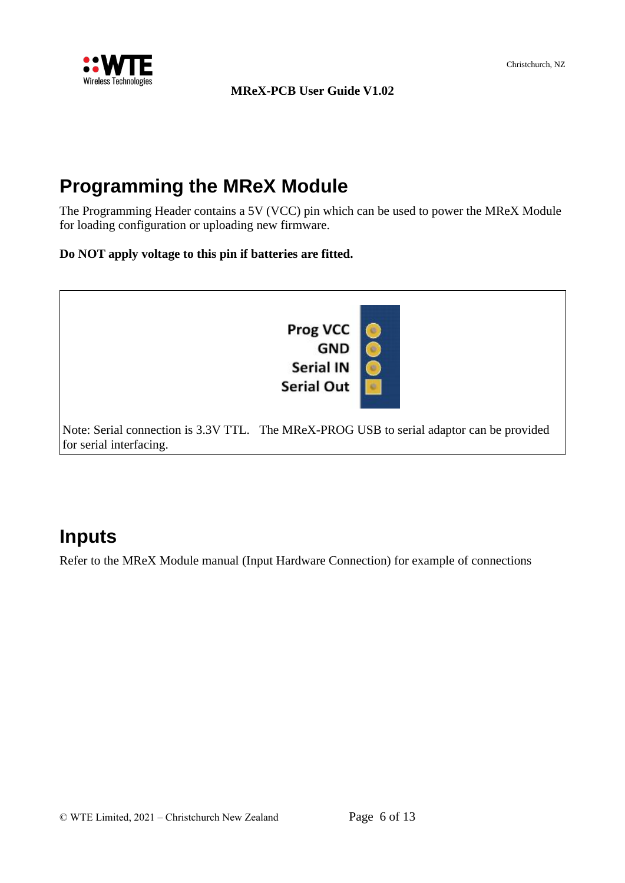

## <span id="page-5-1"></span>**Programming the MReX Module**

The Programming Header contains a 5V (VCC) pin which can be used to power the MReX Module for loading configuration or uploading new firmware.

#### **Do NOT apply voltage to this pin if batteries are fitted.**



## <span id="page-5-0"></span>**Inputs**

Refer to the MReX Module manual (Input Hardware Connection) for example of connections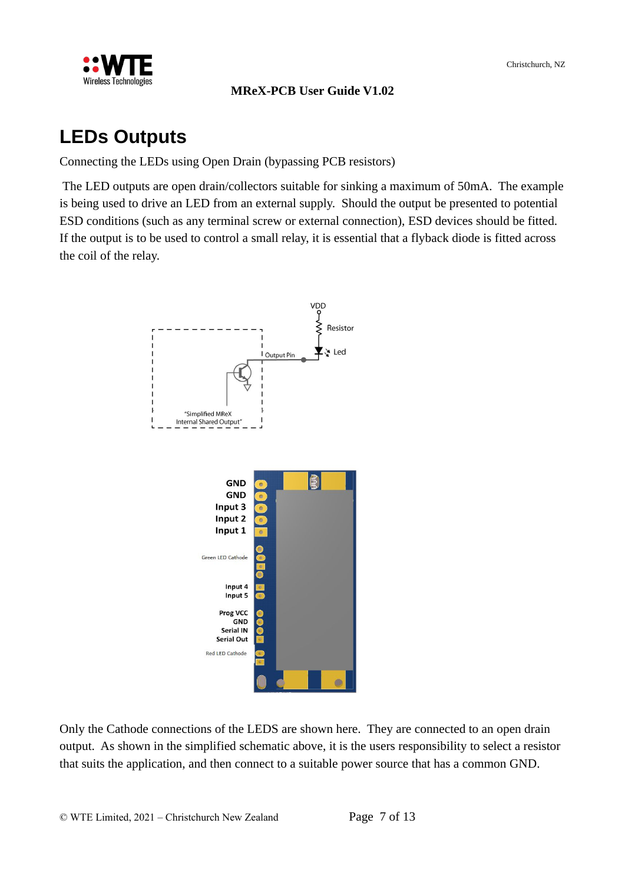

## <span id="page-6-0"></span>**LEDs Outputs**

Connecting the LEDs using Open Drain (bypassing PCB resistors)

 The LED outputs are open drain/collectors suitable for sinking a maximum of 50mA. The example is being used to drive an LED from an external supply. Should the output be presented to potential ESD conditions (such as any terminal screw or external connection), ESD devices should be fitted. If the output is to be used to control a small relay, it is essential that a flyback diode is fitted across the coil of the relay.



Only the Cathode connections of the LEDS are shown here. They are connected to an open drain output. As shown in the simplified schematic above, it is the users responsibility to select a resistor that suits the application, and then connect to a suitable power source that has a common GND.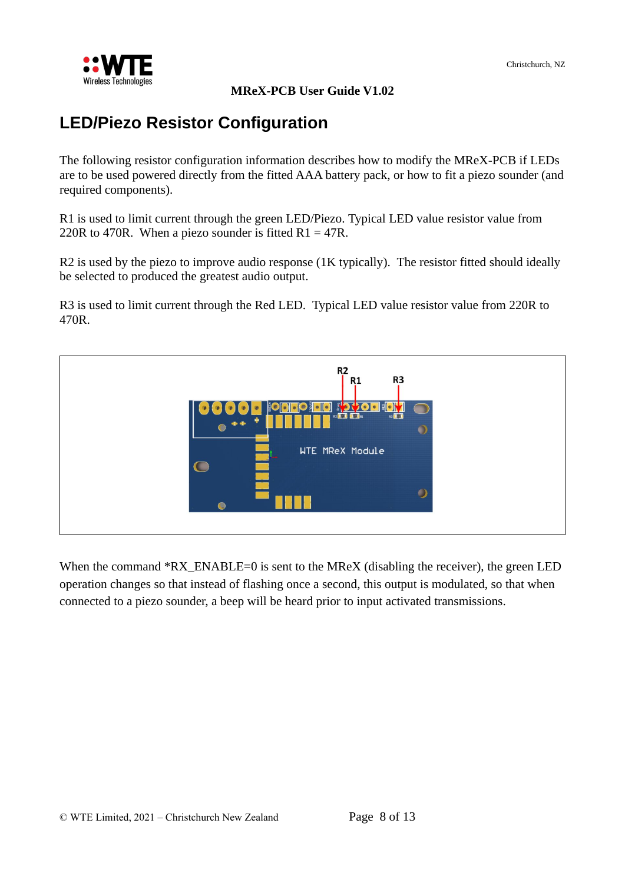

### <span id="page-7-0"></span>**LED/Piezo Resistor Configuration**

The following resistor configuration information describes how to modify the MReX-PCB if LEDs are to be used powered directly from the fitted AAA battery pack, or how to fit a piezo sounder (and required components).

R1 is used to limit current through the green LED/Piezo. Typical LED value resistor value from 220R to 470R. When a piezo sounder is fitted  $R1 = 47R$ .

R2 is used by the piezo to improve audio response (1K typically). The resistor fitted should ideally be selected to produced the greatest audio output.

R3 is used to limit current through the Red LED. Typical LED value resistor value from 220R to 470R.



When the command \*RX\_ENABLE=0 is sent to the MReX (disabling the receiver), the green LED operation changes so that instead of flashing once a second, this output is modulated, so that when connected to a piezo sounder, a beep will be heard prior to input activated transmissions.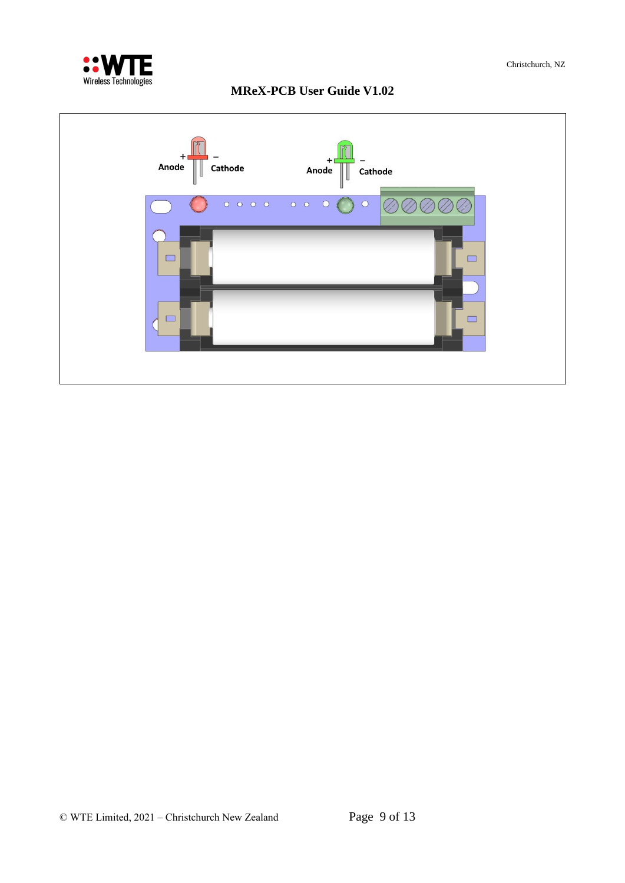

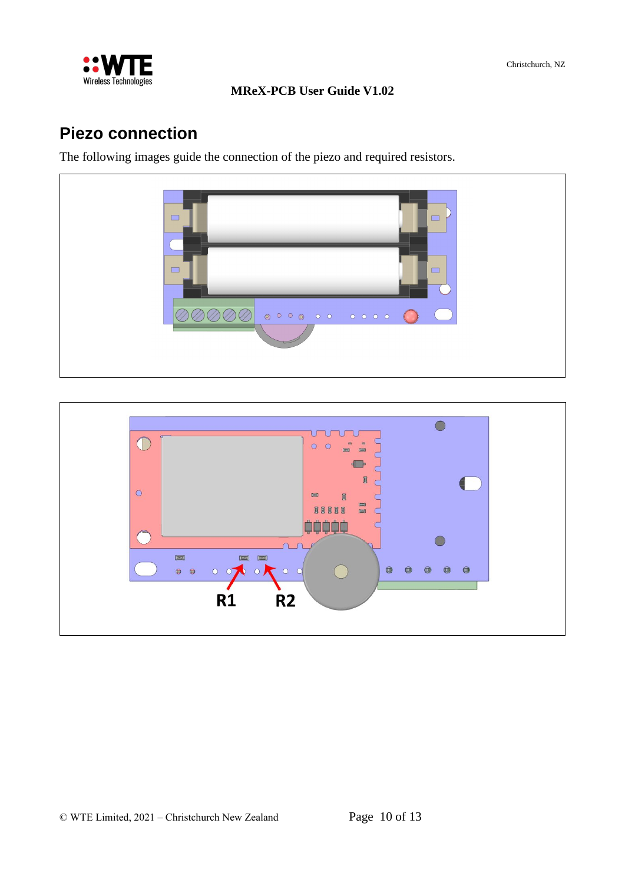

### <span id="page-9-0"></span>**Piezo connection**

The following images guide the connection of the piezo and required resistors.



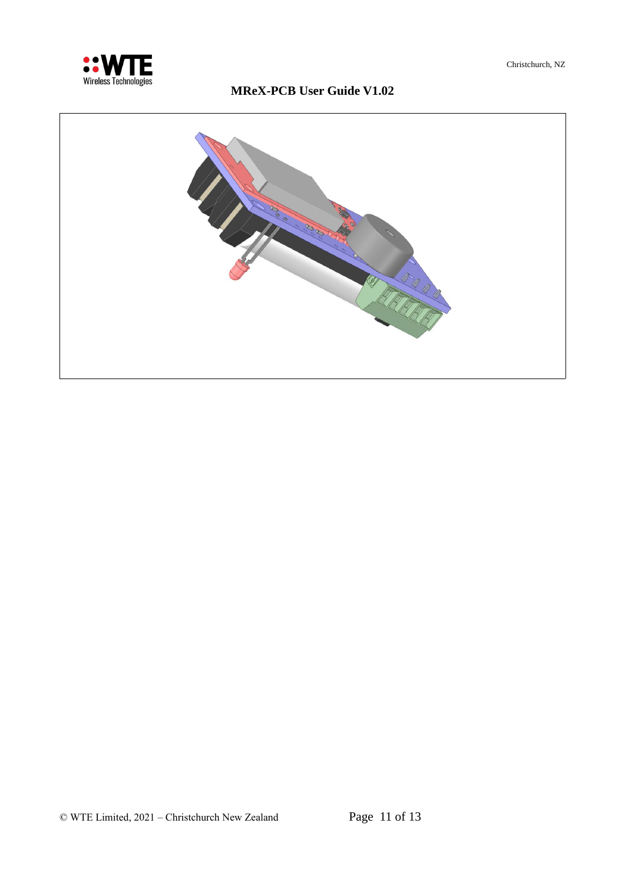



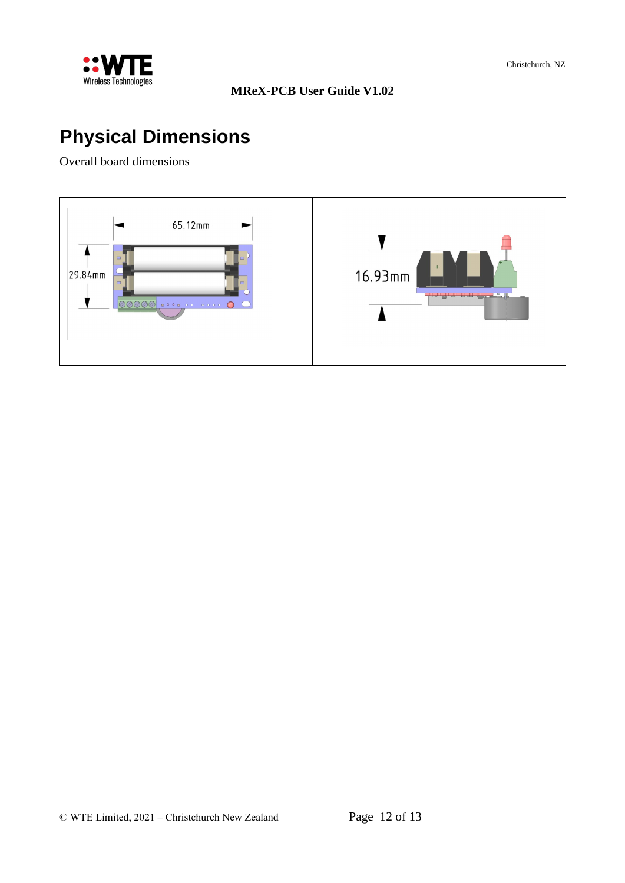

# <span id="page-11-0"></span>**Physical Dimensions**

Overall board dimensions